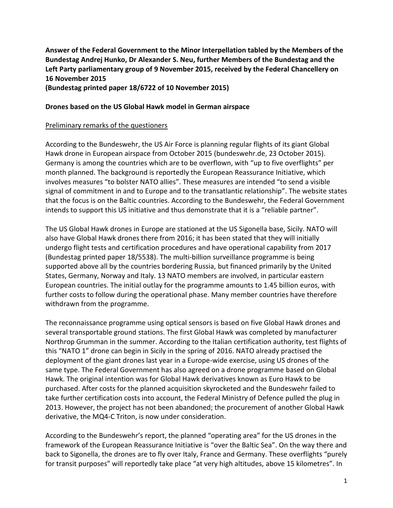**Answer of the Federal Government to the Minor Interpellation tabled by the Members of the Bundestag Andrej Hunko, Dr Alexander S. Neu, further Members of the Bundestag and the Left Party parliamentary group of 9 November 2015, received by the Federal Chancellery on 16 November 2015**

**(Bundestag printed paper 18/6722 of 10 November 2015)**

#### **Drones based on the US Global Hawk model in German airspace**

#### Preliminary remarks of the questioners

According to the Bundeswehr, the US Air Force is planning regular flights of its giant Global Hawk drone in European airspace from October 2015 (bundeswehr.de, 23 October 2015). Germany is among the countries which are to be overflown, with "up to five overflights" per month planned. The background is reportedly the European Reassurance Initiative, which involves measures "to bolster NATO allies". These measures are intended "to send a visible signal of commitment in and to Europe and to the transatlantic relationship". The website states that the focus is on the Baltic countries. According to the Bundeswehr, the Federal Government intends to support this US initiative and thus demonstrate that it is a "reliable partner".

The US Global Hawk drones in Europe are stationed at the US Sigonella base, Sicily. NATO will also have Global Hawk drones there from 2016; it has been stated that they will initially undergo flight tests and certification procedures and have operational capability from 2017 (Bundestag printed paper 18/5538). The multi-billion surveillance programme is being supported above all by the countries bordering Russia, but financed primarily by the United States, Germany, Norway and Italy. 13 NATO members are involved, in particular eastern European countries. The initial outlay for the programme amounts to 1.45 billion euros, with further costs to follow during the operational phase. Many member countries have therefore withdrawn from the programme.

The reconnaissance programme using optical sensors is based on five Global Hawk drones and several transportable ground stations. The first Global Hawk was completed by manufacturer Northrop Grumman in the summer. According to the Italian certification authority, test flights of this "NATO 1" drone can begin in Sicily in the spring of 2016. NATO already practised the deployment of the giant drones last year in a Europe-wide exercise, using US drones of the same type. The Federal Government has also agreed on a drone programme based on Global Hawk. The original intention was for Global Hawk derivatives known as Euro Hawk to be purchased. After costs for the planned acquisition skyrocketed and the Bundeswehr failed to take further certification costs into account, the Federal Ministry of Defence pulled the plug in 2013. However, the project has not been abandoned; the procurement of another Global Hawk derivative, the MQ4-C Triton, is now under consideration.

According to the Bundeswehr's report, the planned "operating area" for the US drones in the framework of the European Reassurance Initiative is "over the Baltic Sea". On the way there and back to Sigonella, the drones are to fly over Italy, France and Germany. These overflights "purely for transit purposes" will reportedly take place "at very high altitudes, above 15 kilometres". In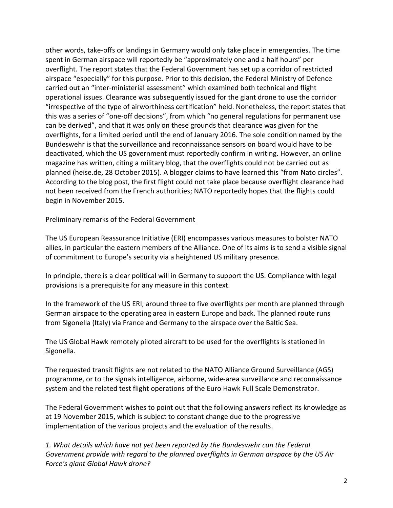other words, take-offs or landings in Germany would only take place in emergencies. The time spent in German airspace will reportedly be "approximately one and a half hours" per overflight. The report states that the Federal Government has set up a corridor of restricted airspace "especially" for this purpose. Prior to this decision, the Federal Ministry of Defence carried out an "inter-ministerial assessment" which examined both technical and flight operational issues. Clearance was subsequently issued for the giant drone to use the corridor "irrespective of the type of airworthiness certification" held. Nonetheless, the report states that this was a series of "one-off decisions", from which "no general regulations for permanent use can be derived", and that it was only on these grounds that clearance was given for the overflights, for a limited period until the end of January 2016. The sole condition named by the Bundeswehr is that the surveillance and reconnaissance sensors on board would have to be deactivated, which the US government must reportedly confirm in writing. However, an online magazine has written, citing a military blog, that the overflights could not be carried out as planned (heise.de, 28 October 2015). A blogger claims to have learned this "from Nato circles". According to the blog post, the first flight could not take place because overflight clearance had not been received from the French authorities; NATO reportedly hopes that the flights could begin in November 2015.

#### Preliminary remarks of the Federal Government

The US European Reassurance Initiative (ERI) encompasses various measures to bolster NATO allies, in particular the eastern members of the Alliance. One of its aims is to send a visible signal of commitment to Europe's security via a heightened US military presence.

In principle, there is a clear political will in Germany to support the US. Compliance with legal provisions is a prerequisite for any measure in this context.

In the framework of the US ERI, around three to five overflights per month are planned through German airspace to the operating area in eastern Europe and back. The planned route runs from Sigonella (Italy) via France and Germany to the airspace over the Baltic Sea.

The US Global Hawk remotely piloted aircraft to be used for the overflights is stationed in Sigonella.

The requested transit flights are not related to the NATO Alliance Ground Surveillance (AGS) programme, or to the signals intelligence, airborne, wide-area surveillance and reconnaissance system and the related test flight operations of the Euro Hawk Full Scale Demonstrator.

The Federal Government wishes to point out that the following answers reflect its knowledge as at 19 November 2015, which is subject to constant change due to the progressive implementation of the various projects and the evaluation of the results.

*1. What details which have not yet been reported by the Bundeswehr can the Federal Government provide with regard to the planned overflights in German airspace by the US Air Force's giant Global Hawk drone?*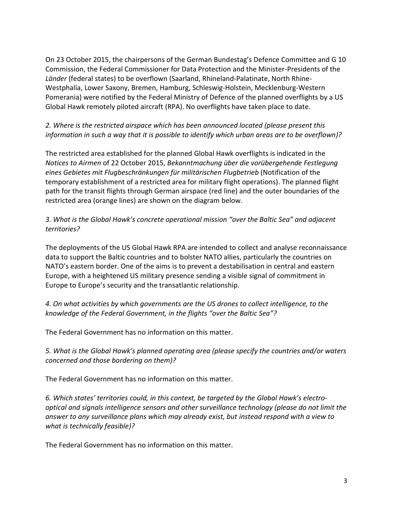On 23 October 2015, the chairpersons of the German Bundestag's Defence Committee and G 10 Commission, the Federal Commissioner for Data Protection and the Minister-Presidents of the *Länder* (federal states) to be overflown (Saarland, Rhineland-Palatinate, North Rhine-Westphalia, Lower Saxony, Bremen, Hamburg, Schleswig-Holstein, Mecklenburg-Western Pomerania) were notified by the Federal Ministry of Defence of the planned overflights by a US Global Hawk remotely piloted aircraft (RPA). No overflights have taken place to date.

### *2. Where is the restricted airspace which has been announced located (please present this information in such a way that it is possible to identify which urban areas are to be overflown)?*

The restricted area established for the planned Global Hawk overflights is indicated in the *Notices to Airmen* of 22 October 2015, *Bekanntmachung über die vorübergehende Festlegung eines Gebietes mit Flugbeschränkungen für militärischen Flugbetrieb* (Notification of the temporary establishment of a restricted area for military flight operations). The planned flight path for the transit flights through German airspace (red line) and the outer boundaries of the restricted area (orange lines) are shown on the diagram below.

### *3. What is the Global Hawk's concrete operational mission "over the Baltic Sea" and adjacent territories?*

The deployments of the US Global Hawk RPA are intended to collect and analyse reconnaissance data to support the Baltic countries and to bolster NATO allies, particularly the countries on NATO's eastern border. One of the aims is to prevent a destabilisation in central and eastern Europe, with a heightened US military presence sending a visible signal of commitment in Europe to Europe's security and the transatlantic relationship.

*4. On what activities by which governments are the US drones to collect intelligence, to the knowledge of the Federal Government, in the flights "over the Baltic Sea"?*

The Federal Government has no information on this matter.

*5. What is the Global Hawk's planned operating area (please specify the countries and/or waters concerned and those bordering on them)?*

The Federal Government has no information on this matter.

*6. Which states' territories could, in this context, be targeted by the Global Hawk's electrooptical and signals intelligence sensors and other surveillance technology (please do not limit the answer to any surveillance plans which may already exist, but instead respond with a view to what is technically feasible)?*

The Federal Government has no information on this matter.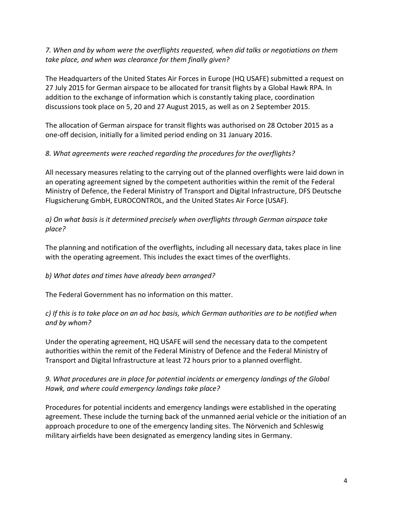*7. When and by whom were the overflights requested, when did talks or negotiations on them take place, and when was clearance for them finally given?*

The Headquarters of the United States Air Forces in Europe (HQ USAFE) submitted a request on 27 July 2015 for German airspace to be allocated for transit flights by a Global Hawk RPA. In addition to the exchange of information which is constantly taking place, coordination discussions took place on 5, 20 and 27 August 2015, as well as on 2 September 2015.

The allocation of German airspace for transit flights was authorised on 28 October 2015 as a one-off decision, initially for a limited period ending on 31 January 2016.

#### *8. What agreements were reached regarding the procedures for the overflights?*

All necessary measures relating to the carrying out of the planned overflights were laid down in an operating agreement signed by the competent authorities within the remit of the Federal Ministry of Defence, the Federal Ministry of Transport and Digital Infrastructure, DFS Deutsche Flugsicherung GmbH, EUROCONTROL, and the United States Air Force (USAF).

*a) On what basis is it determined precisely when overflights through German airspace take place?*

The planning and notification of the overflights, including all necessary data, takes place in line with the operating agreement. This includes the exact times of the overflights.

# *b) What dates and times have already been arranged?*

The Federal Government has no information on this matter.

### *c) If this is to take place on an ad hoc basis, which German authorities are to be notified when and by whom?*

Under the operating agreement, HQ USAFE will send the necessary data to the competent authorities within the remit of the Federal Ministry of Defence and the Federal Ministry of Transport and Digital Infrastructure at least 72 hours prior to a planned overflight.

# *9. What procedures are in place for potential incidents or emergency landings of the Global Hawk, and where could emergency landings take place?*

Procedures for potential incidents and emergency landings were established in the operating agreement. These include the turning back of the unmanned aerial vehicle or the initiation of an approach procedure to one of the emergency landing sites. The Nörvenich and Schleswig military airfields have been designated as emergency landing sites in Germany.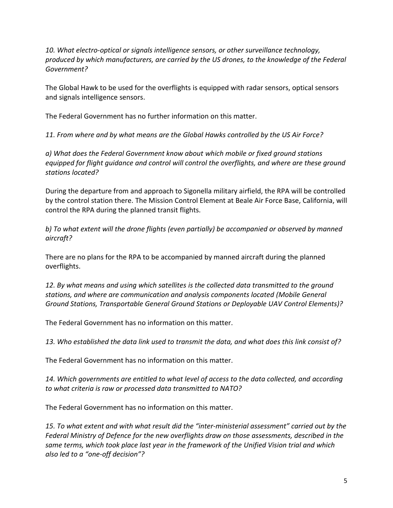*10. What electro-optical or signals intelligence sensors, or other surveillance technology, produced by which manufacturers, are carried by the US drones, to the knowledge of the Federal Government?*

The Global Hawk to be used for the overflights is equipped with radar sensors, optical sensors and signals intelligence sensors.

The Federal Government has no further information on this matter.

*11. From where and by what means are the Global Hawks controlled by the US Air Force?*

*a) What does the Federal Government know about which mobile or fixed ground stations equipped for flight guidance and control will control the overflights, and where are these ground stations located?*

During the departure from and approach to Sigonella military airfield, the RPA will be controlled by the control station there. The Mission Control Element at Beale Air Force Base, California, will control the RPA during the planned transit flights.

*b) To what extent will the drone flights (even partially) be accompanied or observed by manned aircraft?*

There are no plans for the RPA to be accompanied by manned aircraft during the planned overflights.

*12. By what means and using which satellites is the collected data transmitted to the ground stations, and where are communication and analysis components located (Mobile General Ground Stations, Transportable General Ground Stations or Deployable UAV Control Elements)?*

The Federal Government has no information on this matter.

*13. Who established the data link used to transmit the data, and what does this link consist of?*

The Federal Government has no information on this matter.

*14. Which governments are entitled to what level of access to the data collected, and according to what criteria is raw or processed data transmitted to NATO?*

The Federal Government has no information on this matter.

*15. To what extent and with what result did the "inter-ministerial assessment" carried out by the Federal Ministry of Defence for the new overflights draw on those assessments, described in the same terms, which took place last year in the framework of the Unified Vision trial and which also led to a "one-off decision"?*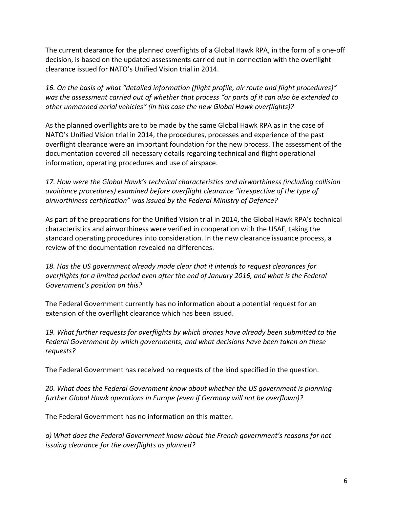The current clearance for the planned overflights of a Global Hawk RPA, in the form of a one-off decision, is based on the updated assessments carried out in connection with the overflight clearance issued for NATO's Unified Vision trial in 2014.

*16. On the basis of what "detailed information (flight profile, air route and flight procedures)" was the assessment carried out of whether that process "or parts of it can also be extended to other unmanned aerial vehicles" (in this case the new Global Hawk overflights)?*

As the planned overflights are to be made by the same Global Hawk RPA as in the case of NATO's Unified Vision trial in 2014, the procedures, processes and experience of the past overflight clearance were an important foundation for the new process. The assessment of the documentation covered all necessary details regarding technical and flight operational information, operating procedures and use of airspace.

*17. How were the Global Hawk's technical characteristics and airworthiness (including collision avoidance procedures) examined before overflight clearance "irrespective of the type of airworthiness certification" was issued by the Federal Ministry of Defence?*

As part of the preparations for the Unified Vision trial in 2014, the Global Hawk RPA's technical characteristics and airworthiness were verified in cooperation with the USAF, taking the standard operating procedures into consideration. In the new clearance issuance process, a review of the documentation revealed no differences.

*18. Has the US government already made clear that it intends to request clearances for overflights for a limited period even after the end of January 2016, and what is the Federal Government's position on this?*

The Federal Government currently has no information about a potential request for an extension of the overflight clearance which has been issued.

*19. What further requests for overflights by which drones have already been submitted to the Federal Government by which governments, and what decisions have been taken on these requests?*

The Federal Government has received no requests of the kind specified in the question.

*20. What does the Federal Government know about whether the US government is planning further Global Hawk operations in Europe (even if Germany will not be overflown)?*

The Federal Government has no information on this matter.

*a) What does the Federal Government know about the French government's reasons for not issuing clearance for the overflights as planned?*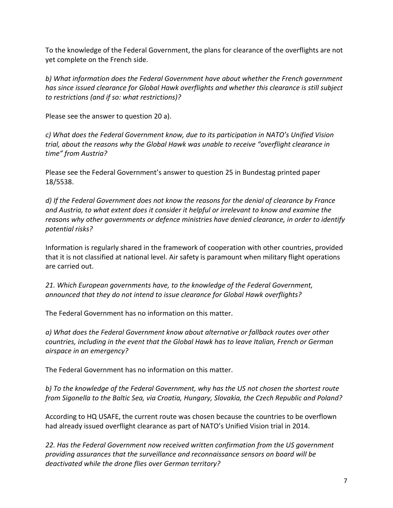To the knowledge of the Federal Government, the plans for clearance of the overflights are not yet complete on the French side.

*b) What information does the Federal Government have about whether the French government has since issued clearance for Global Hawk overflights and whether this clearance is still subject to restrictions (and if so: what restrictions)?*

Please see the answer to question 20 a).

*c) What does the Federal Government know, due to its participation in NATO's Unified Vision trial, about the reasons why the Global Hawk was unable to receive "overflight clearance in time" from Austria?*

Please see the Federal Government's answer to question 25 in Bundestag printed paper 18/5538.

*d) If the Federal Government does not know the reasons for the denial of clearance by France and Austria, to what extent does it consider it helpful or irrelevant to know and examine the reasons why other governments or defence ministries have denied clearance, in order to identify potential risks?*

Information is regularly shared in the framework of cooperation with other countries, provided that it is not classified at national level. Air safety is paramount when military flight operations are carried out.

*21. Which European governments have, to the knowledge of the Federal Government, announced that they do not intend to issue clearance for Global Hawk overflights?*

The Federal Government has no information on this matter.

*a) What does the Federal Government know about alternative or fallback routes over other countries, including in the event that the Global Hawk has to leave Italian, French or German airspace in an emergency?*

The Federal Government has no information on this matter.

*b) To the knowledge of the Federal Government, why has the US not chosen the shortest route from Sigonella to the Baltic Sea, via Croatia, Hungary, Slovakia, the Czech Republic and Poland?*

According to HQ USAFE, the current route was chosen because the countries to be overflown had already issued overflight clearance as part of NATO's Unified Vision trial in 2014.

*22. Has the Federal Government now received written confirmation from the US government providing assurances that the surveillance and reconnaissance sensors on board will be deactivated while the drone flies over German territory?*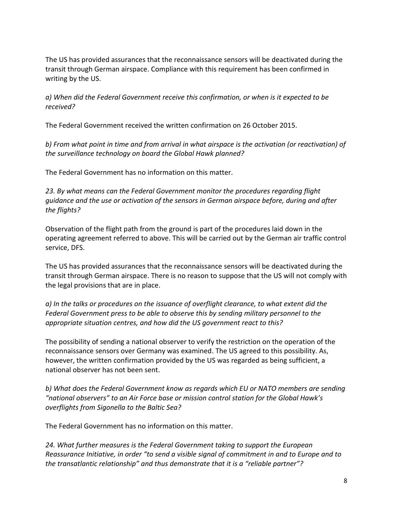The US has provided assurances that the reconnaissance sensors will be deactivated during the transit through German airspace. Compliance with this requirement has been confirmed in writing by the US.

*a) When did the Federal Government receive this confirmation, or when is it expected to be received?*

The Federal Government received the written confirmation on 26 October 2015.

*b) From what point in time and from arrival in what airspace is the activation (or reactivation) of the surveillance technology on board the Global Hawk planned?*

The Federal Government has no information on this matter.

*23. By what means can the Federal Government monitor the procedures regarding flight guidance and the use or activation of the sensors in German airspace before, during and after the flights?*

Observation of the flight path from the ground is part of the procedures laid down in the operating agreement referred to above. This will be carried out by the German air traffic control service, DFS.

The US has provided assurances that the reconnaissance sensors will be deactivated during the transit through German airspace. There is no reason to suppose that the US will not comply with the legal provisions that are in place.

*a) In the talks or procedures on the issuance of overflight clearance, to what extent did the Federal Government press to be able to observe this by sending military personnel to the appropriate situation centres, and how did the US government react to this?*

The possibility of sending a national observer to verify the restriction on the operation of the reconnaissance sensors over Germany was examined. The US agreed to this possibility. As, however, the written confirmation provided by the US was regarded as being sufficient, a national observer has not been sent.

*b) What does the Federal Government know as regards which EU or NATO members are sending "national observers" to an Air Force base or mission control station for the Global Hawk's overflights from Sigonella to the Baltic Sea?*

The Federal Government has no information on this matter.

*24. What further measures is the Federal Government taking to support the European Reassurance Initiative, in order "to send a visible signal of commitment in and to Europe and to the transatlantic relationship" and thus demonstrate that it is a "reliable partner"?*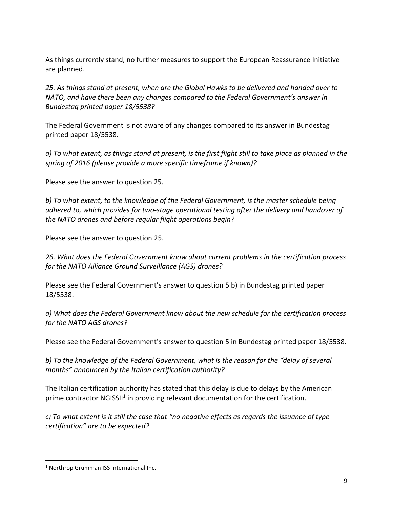As things currently stand, no further measures to support the European Reassurance Initiative are planned.

*25. As things stand at present, when are the Global Hawks to be delivered and handed over to NATO, and have there been any changes compared to the Federal Government's answer in Bundestag printed paper 18/5538?*

The Federal Government is not aware of any changes compared to its answer in Bundestag printed paper 18/5538.

*a) To what extent, as things stand at present, is the first flight still to take place as planned in the spring of 2016 (please provide a more specific timeframe if known)?*

Please see the answer to question 25.

*b) To what extent, to the knowledge of the Federal Government, is the master schedule being adhered to, which provides for two-stage operational testing after the delivery and handover of the NATO drones and before regular flight operations begin?*

Please see the answer to question 25.

*26. What does the Federal Government know about current problems in the certification process for the NATO Alliance Ground Surveillance (AGS) drones?*

Please see the Federal Government's answer to question 5 b) in Bundestag printed paper 18/5538.

*a) What does the Federal Government know about the new schedule for the certification process for the NATO AGS drones?*

Please see the Federal Government's answer to question 5 in Bundestag printed paper 18/5538.

*b) To the knowledge of the Federal Government, what is the reason for the "delay of several months" announced by the Italian certification authority?*

The Italian certification authority has stated that this delay is due to delays by the American prime contractor NGISSII<sup>1</sup> in providing relevant documentation for the certification.

*c) To what extent is it still the case that "no negative effects as regards the issuance of type certification" are to be expected?*

 $\overline{a}$ 

<sup>&</sup>lt;sup>1</sup> Northrop Grumman ISS International Inc.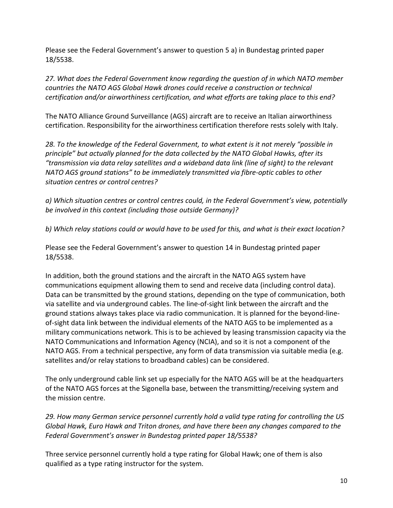Please see the Federal Government's answer to question 5 a) in Bundestag printed paper 18/5538.

*27. What does the Federal Government know regarding the question of in which NATO member countries the NATO AGS Global Hawk drones could receive a construction or technical certification and/or airworthiness certification, and what efforts are taking place to this end?*

The NATO Alliance Ground Surveillance (AGS) aircraft are to receive an Italian airworthiness certification. Responsibility for the airworthiness certification therefore rests solely with Italy.

*28. To the knowledge of the Federal Government, to what extent is it not merely "possible in principle" but actually planned for the data collected by the NATO Global Hawks, after its "transmission via data relay satellites and a wideband data link (line of sight) to the relevant NATO AGS ground stations" to be immediately transmitted via fibre-optic cables to other situation centres or control centres?*

*a) Which situation centres or control centres could, in the Federal Government's view, potentially be involved in this context (including those outside Germany)?*

*b) Which relay stations could or would have to be used for this, and what is their exact location?*

Please see the Federal Government's answer to question 14 in Bundestag printed paper 18/5538.

In addition, both the ground stations and the aircraft in the NATO AGS system have communications equipment allowing them to send and receive data (including control data). Data can be transmitted by the ground stations, depending on the type of communication, both via satellite and via underground cables. The line-of-sight link between the aircraft and the ground stations always takes place via radio communication. It is planned for the beyond-lineof-sight data link between the individual elements of the NATO AGS to be implemented as a military communications network. This is to be achieved by leasing transmission capacity via the NATO Communications and Information Agency (NCIA), and so it is not a component of the NATO AGS. From a technical perspective, any form of data transmission via suitable media (e.g. satellites and/or relay stations to broadband cables) can be considered.

The only underground cable link set up especially for the NATO AGS will be at the headquarters of the NATO AGS forces at the Sigonella base, between the transmitting/receiving system and the mission centre.

*29. How many German service personnel currently hold a valid type rating for controlling the US Global Hawk, Euro Hawk and Triton drones, and have there been any changes compared to the Federal Government's answer in Bundestag printed paper 18/5538?*

Three service personnel currently hold a type rating for Global Hawk; one of them is also qualified as a type rating instructor for the system.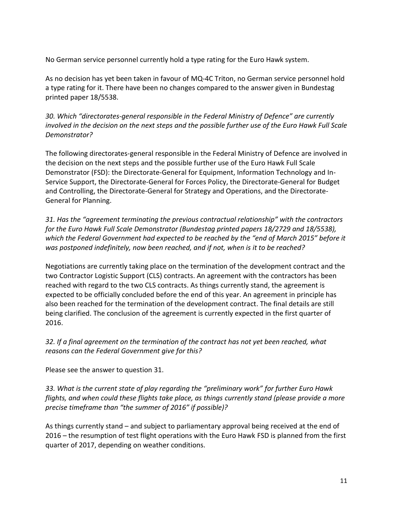No German service personnel currently hold a type rating for the Euro Hawk system.

As no decision has yet been taken in favour of MQ-4C Triton, no German service personnel hold a type rating for it. There have been no changes compared to the answer given in Bundestag printed paper 18/5538.

*30. Which "directorates-general responsible in the Federal Ministry of Defence" are currently involved in the decision on the next steps and the possible further use of the Euro Hawk Full Scale Demonstrator?*

The following directorates-general responsible in the Federal Ministry of Defence are involved in the decision on the next steps and the possible further use of the Euro Hawk Full Scale Demonstrator (FSD): the Directorate-General for Equipment, Information Technology and In-Service Support, the Directorate-General for Forces Policy, the Directorate-General for Budget and Controlling, the Directorate-General for Strategy and Operations, and the Directorate-General for Planning.

*31. Has the "agreement terminating the previous contractual relationship" with the contractors for the Euro Hawk Full Scale Demonstrator (Bundestag printed papers 18/2729 and 18/5538), which the Federal Government had expected to be reached by the "end of March 2015" before it was postponed indefinitely, now been reached, and if not, when is it to be reached?*

Negotiations are currently taking place on the termination of the development contract and the two Contractor Logistic Support (CLS) contracts. An agreement with the contractors has been reached with regard to the two CLS contracts. As things currently stand, the agreement is expected to be officially concluded before the end of this year. An agreement in principle has also been reached for the termination of the development contract. The final details are still being clarified. The conclusion of the agreement is currently expected in the first quarter of 2016.

*32. If a final agreement on the termination of the contract has not yet been reached, what reasons can the Federal Government give for this?*

Please see the answer to question 31.

*33. What is the current state of play regarding the "preliminary work" for further Euro Hawk flights, and when could these flights take place, as things currently stand (please provide a more precise timeframe than "the summer of 2016" if possible)?*

As things currently stand – and subject to parliamentary approval being received at the end of 2016 – the resumption of test flight operations with the Euro Hawk FSD is planned from the first quarter of 2017, depending on weather conditions.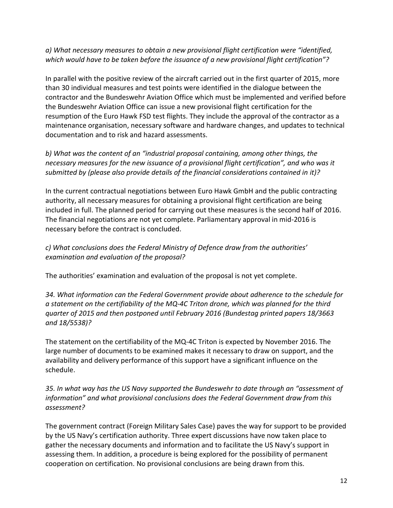*a) What necessary measures to obtain a new provisional flight certification were "identified, which would have to be taken before the issuance of a new provisional flight certification"?*

In parallel with the positive review of the aircraft carried out in the first quarter of 2015, more than 30 individual measures and test points were identified in the dialogue between the contractor and the Bundeswehr Aviation Office which must be implemented and verified before the Bundeswehr Aviation Office can issue a new provisional flight certification for the resumption of the Euro Hawk FSD test flights. They include the approval of the contractor as a maintenance organisation, necessary software and hardware changes, and updates to technical documentation and to risk and hazard assessments.

*b) What was the content of an "industrial proposal containing, among other things, the necessary measures for the new issuance of a provisional flight certification", and who was it submitted by (please also provide details of the financial considerations contained in it)?*

In the current contractual negotiations between Euro Hawk GmbH and the public contracting authority, all necessary measures for obtaining a provisional flight certification are being included in full. The planned period for carrying out these measures is the second half of 2016. The financial negotiations are not yet complete. Parliamentary approval in mid-2016 is necessary before the contract is concluded.

*c) What conclusions does the Federal Ministry of Defence draw from the authorities' examination and evaluation of the proposal?*

The authorities' examination and evaluation of the proposal is not yet complete.

*34. What information can the Federal Government provide about adherence to the schedule for a statement on the certifiability of the MQ-4C Triton drone, which was planned for the third quarter of 2015 and then postponed until February 2016 (Bundestag printed papers 18/3663 and 18/5538)?*

The statement on the certifiability of the MQ-4C Triton is expected by November 2016. The large number of documents to be examined makes it necessary to draw on support, and the availability and delivery performance of this support have a significant influence on the schedule.

*35. In what way has the US Navy supported the Bundeswehr to date through an "assessment of information" and what provisional conclusions does the Federal Government draw from this assessment?*

The government contract (Foreign Military Sales Case) paves the way for support to be provided by the US Navy's certification authority. Three expert discussions have now taken place to gather the necessary documents and information and to facilitate the US Navy's support in assessing them. In addition, a procedure is being explored for the possibility of permanent cooperation on certification. No provisional conclusions are being drawn from this.